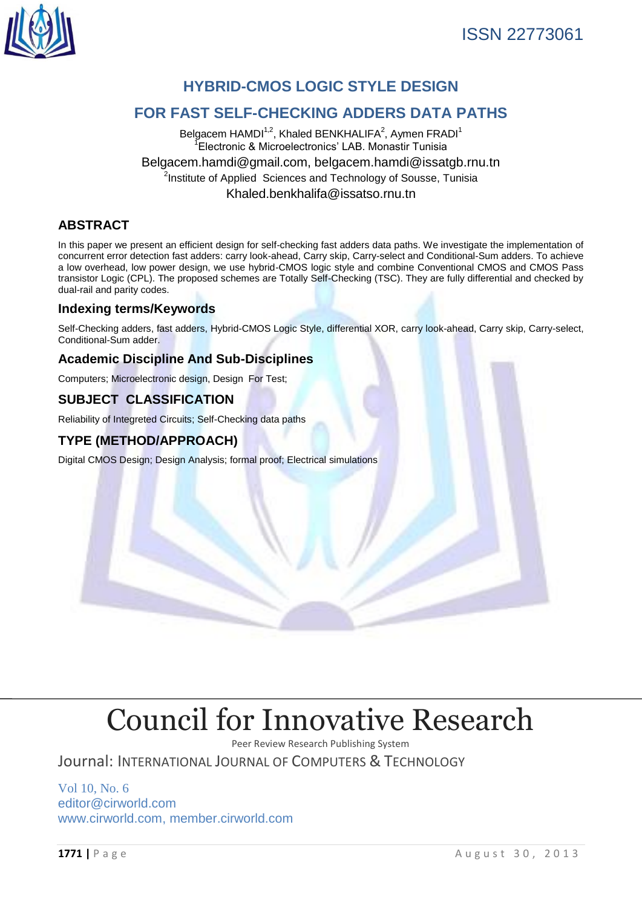

# **HYBRID-CMOS LOGIC STYLE DESIGN**

# **FOR FAST SELF-CHECKING ADDERS DATA PATHS**

Belgacem HAMDI<sup>1,2</sup>, Khaled BENKHALIFA<sup>2</sup>, Aymen FRADI<sup>1</sup> 1 Electronic & Microelectronics' LAB. Monastir Tunisia [Belgacem.hamdi@gmail.com,](mailto:Belgacem.hamdi@gmail.com) [belgacem.hamdi@issatgb.rnu.tn](mailto:Belgacem.Hamdi@issatgb.rnu.tn) <sup>2</sup>Institute of Applied Sciences and Technology of Sousse, Tunisia Khaled.benkhalifa@issatso.rnu.tn

# **ABSTRACT**

In this paper we present an efficient design for self-checking fast adders data paths. We investigate the implementation of concurrent error detection fast adders: carry look-ahead, Carry skip, Carry-select and Conditional-Sum adders. To achieve a low overhead, low power design, we use hybrid-CMOS logic style and combine Conventional CMOS and CMOS Pass transistor Logic (CPL). The proposed schemes are Totally Self-Checking (TSC). They are fully differential and checked by dual-rail and parity codes.

# **Indexing terms/Keywords**

Self-Checking adders, fast adders, Hybrid-CMOS Logic Style, differential XOR, carry look-ahead, Carry skip, Carry-select, Conditional-Sum adder.

# **Academic Discipline And Sub-Disciplines**

Computers; Microelectronic design, Design For Test;

# **SUBJECT CLASSIFICATION**

Reliability of Integreted Circuits; Self-Checking data paths

# **TYPE (METHOD/APPROACH)**

Digital CMOS Design; Design Analysis; formal proof; Electrical simulations

# [Council for Innovative Research](http://member.cirworld.com/)

Peer Review Research Publishing System

Journal: INTERNATIONAL JOURNAL OF COMPUTERS & TECHNOLOGY

Vol 10, No. 6 editor@cirworld.com [www.cirworld.com, me](http://www.cirworld.com/)mber.cirworld.com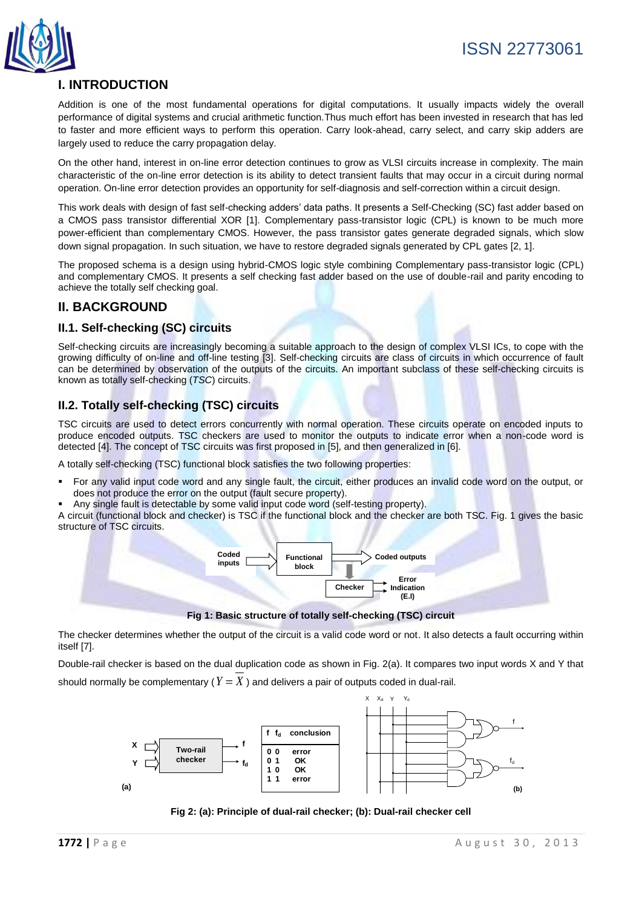

# **I. INTRODUCTION**

Addition is one of the most fundamental operations for digital computations. It usually impacts widely the overall performance of digital systems and crucial arithmetic function.Thus much effort has been invested in research that has led to faster and more efficient ways to perform this operation. Carry look-ahead, carry select, and carry skip adders are largely used to reduce the carry propagation delay.

On the other hand, interest in on-line error detection continues to grow as VLSI circuits increase in complexity. The main characteristic of the on-line error detection is its ability to detect transient faults that may occur in a circuit during normal operation. On-line error detection provides an opportunity for self-diagnosis and self-correction within a circuit design.

This work deals with design of fast self-checking adders' data paths. It presents a Self-Checking (SC) fast adder based on a CMOS pass transistor differential XOR [1]. Complementary pass-transistor logic (CPL) is known to be much more power-efficient than complementary CMOS. However, the pass transistor gates generate degraded signals, which slow down signal propagation. In such situation, we have to restore degraded signals generated by CPL gates [2, 1].

The proposed schema is a design using hybrid-CMOS logic style combining Complementary pass-transistor logic (CPL) and complementary CMOS. It presents a self checking fast adder based on the use of double-rail and parity encoding to achieve the totally self checking goal.

# **II. BACKGROUND**

### **II.1. Self-checking (SC) circuits**

Self-checking circuits are increasingly becoming a suitable approach to the design of complex VLSI ICs, to cope with the growing difficulty of on-line and off-line testing [3]. Self-checking circuits are class of circuits in which occurrence of fault can be determined by observation of the outputs of the circuits. An important subclass of these self-checking circuits is known as totally self-checking (*TSC*) circuits.

#### **II.2. Totally self-checking (TSC) circuits**

TSC circuits are used to detect errors concurrently with normal operation. These circuits operate on encoded inputs to produce encoded outputs. TSC checkers are used to monitor the outputs to indicate error when a non-code word is detected [4]. The concept of TSC circuits was first proposed in [5], and then generalized in [6].

A totally self-checking (TSC) functional block satisfies the two following properties:

- For any valid input code word and any single fault, the circuit, either produces an invalid code word on the output, or does not produce the error on the output (fault secure property).
- Any single fault is detectable by some valid input code word (self-testing property).

A circuit (functional block and checker) is TSC if the functional block and the checker are both TSC. Fig. 1 gives the basic structure of TSC circuits.



**Fig 1: Basic structure of totally self-checking (TSC) circuit**

The checker determines whether the output of the circuit is a valid code word or not. It also detects a fault occurring within itself [7].

Double-rail checker is based on the dual duplication code as shown in Fig. 2(a). It compares two input words X and Y that

should normally be complementary ( $Y = X$  ) and delivers a pair of outputs coded in dual-rail.



**Fig 2: (a): Principle of dual-rail checker; (b): Dual-rail checker cell**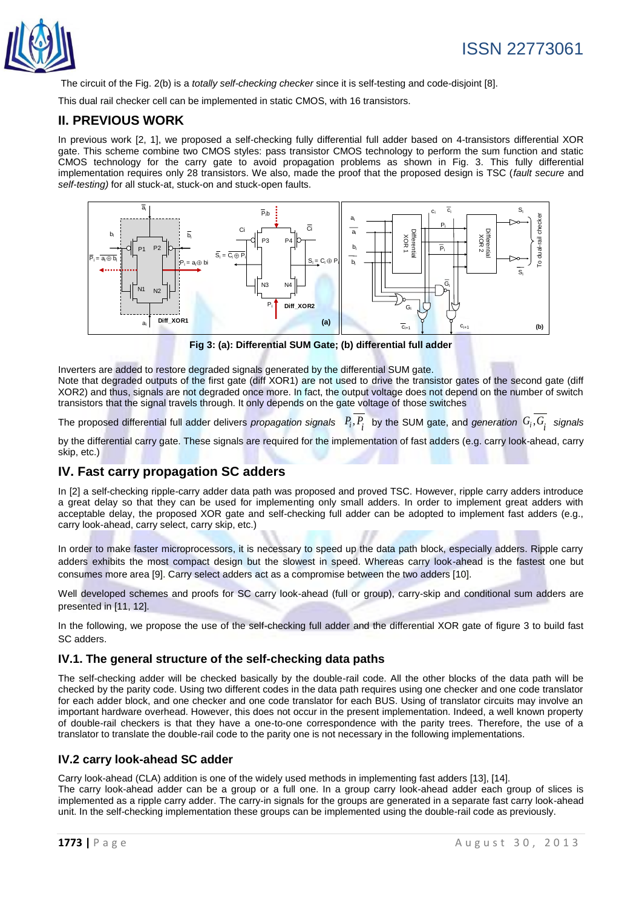

The circuit of the Fig. 2(b) is a *totally self-checking checker* since it is self-testing and code-disjoint [8].

This dual rail checker cell can be implemented in static CMOS, with 16 transistors.

## **II. PREVIOUS WORK**

In previous work [2, 1], we proposed a self-checking fully differential full adder based on 4-transistors differential XOR gate. This scheme combine two CMOS styles: pass transistor CMOS technology to perform the sum function and static CMOS technology for the carry gate to avoid propagation problems as shown in Fig. 3. This fully differential implementation requires only 28 transistors. We also, made the proof that the proposed design is TSC (*fault secure* and *self-testing)* for all stuck-at, stuck-on and stuck-open faults.



**Fig 3: (a): Differential SUM Gate; (b) differential full adder**

Inverters are added to restore degraded signals generated by the differential SUM gate. Note that degraded outputs of the first gate (diff XOR1) are not used to drive the transistor gates of the second gate (diff XOR2) and thus, signals are not degraded once more. In fact, the output voltage does not depend on the number of switch transistors that the signal travels through. It only depends on the gate voltage of those switches

The proposed differential full adder delivers *propagation signals*  $P_i, P_i$  by the SUM gate, and *generation*  $G_i, G_i$  signals

by the differential carry gate. These signals are required for the implementation of fast adders (e.g. carry look-ahead, carry skip, etc.)

#### **IV. Fast carry propagation SC adders**

In [2] a self-checking ripple-carry adder data path was proposed and proved TSC. However, ripple carry adders introduce a great delay so that they can be used for implementing only small adders. In order to implement great adders with acceptable delay, the proposed XOR gate and self-checking full adder can be adopted to implement fast adders (e.g., carry look-ahead, carry select, carry skip, etc.)

In order to make faster microprocessors, it is necessary to speed up the data path block, especially adders. Ripple carry adders exhibits the most compact design but the slowest in speed. Whereas carry look-ahead is the fastest one but consumes more area [9]. Carry select adders act as a compromise between the two adders [10].

Well developed schemes and proofs for SC carry look-ahead (full or group), carry-skip and conditional sum adders are presented in [11, 12].

In the following, we propose the use of the self-checking full adder and the differential XOR gate of figure 3 to build fast SC adders.

#### **IV.1. The general structure of the self-checking data paths**

The self-checking adder will be checked basically by the double-rail code. All the other blocks of the data path will be checked by the parity code. Using two different codes in the data path requires using one checker and one code translator for each adder block, and one checker and one code translator for each BUS. Using of translator circuits may involve an important hardware overhead. However, this does not occur in the present implementation. Indeed, a well known property of double-rail checkers is that they have a one-to-one correspondence with the parity trees. Therefore, the use of a translator to translate the double-rail code to the parity one is not necessary in the following implementations.

#### **IV.2 carry look-ahead SC adder**

Carry look-ahead (CLA) addition is one of the widely used methods in implementing fast adders [13], [14]. The carry look-ahead adder can be a group or a full one. In a group carry look-ahead adder each group of slices is implemented as a ripple carry adder. The carry-in signals for the groups are generated in a separate fast carry look-ahead unit. In the self-checking implementation these groups can be implemented using the double-rail code as previously.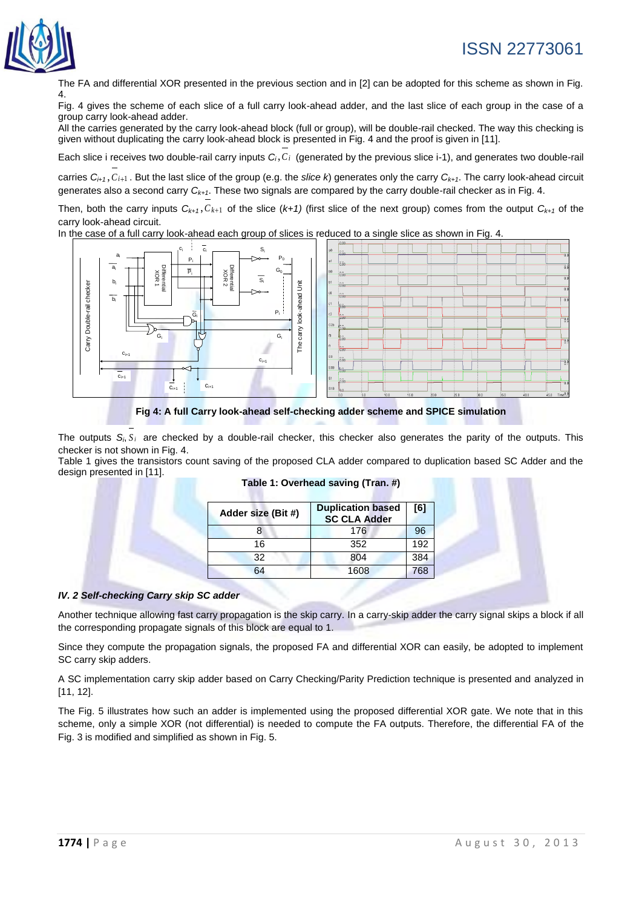

# ISSN 22773061

The FA and differential XOR presented in the previous section and in [2] can be adopted for this scheme as shown in Fig. 4.

Fig. 4 gives the scheme of each slice of a full carry look-ahead adder, and the last slice of each group in the case of a group carry look-ahead adder.

All the carries generated by the carry look-ahead block (full or group), will be double-rail checked. The way this checking is given without duplicating the carry look-ahead block is presented in Fig. 4 and the proof is given in [11].

Each slice i receives two double-rail carry inputs *Ci*,*C<sup>i</sup>* (generated by the previous slice i-1), and generates two double-rail

carries  $C_{i+1}$ ,  $C_{i+1}$ . But the last slice of the group (e.g. the *slice k*) generates only the carry  $C_{k+1}$ . The carry look-ahead circuit generates also a second carry *Ck+1*. These two signals are compared by the carry double-rail checker as in Fig. 4.

Then, both the carry inputs  $C_{k+1}$ ,  $C_{k+1}$  of the slice  $(k+1)$  (first slice of the next group) comes from the output  $C_{k+1}$  of the carry look-ahead circuit.

In the case of a full carry look-ahead each group of slices is reduced to a single slice as shown in Fig. 4.



**Fig 4: A full Carry look-ahead self-checking adder scheme and SPICE simulation**

The outputs  $S_i$ ,  $S_i$  are checked by a double-rail checker, this checker also generates the parity of the outputs. This checker is not shown in Fig. 4.

Table 1 gives the transistors count saving of the proposed CLA adder compared to duplication based SC Adder and the design presented in [11].

| Adder size (Bit #) | <b>Duplication based</b><br><b>SC CLA Adder</b> | [6] |
|--------------------|-------------------------------------------------|-----|
|                    | 176                                             | 96  |
| 16                 | 352                                             | 192 |
| 32                 | 804                                             | 384 |
| ۹4                 | 1608                                            | 768 |

#### **Table 1: Overhead saving (Tran. #)**

#### *IV. 2 Self-checking Carry skip SC adder*

Another technique allowing fast carry propagation is the skip carry. In a carry-skip adder the carry signal skips a block if all the corresponding propagate signals of this block are equal to 1.

Since they compute the propagation signals, the proposed FA and differential XOR can easily, be adopted to implement SC carry skip adders.

A SC implementation carry skip adder based on Carry Checking/Parity Prediction technique is presented and analyzed in [11, 12].

The Fig. 5 illustrates how such an adder is implemented using the proposed differential XOR gate. We note that in this scheme, only a simple XOR (not differential) is needed to compute the FA outputs. Therefore, the differential FA of the Fig. 3 is modified and simplified as shown in Fig. 5.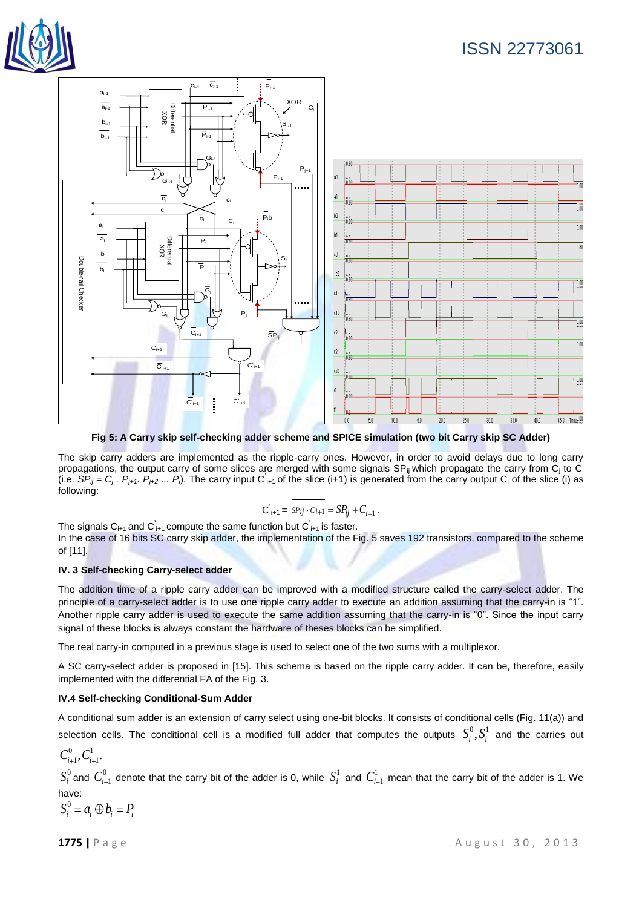



**Fig 5: A Carry skip self-checking adder scheme and SPICE simulation (two bit Carry skip SC Adder)**

The skip carry adders are implemented as the ripple-carry ones. However, in order to avoid delays due to long carry propagations, the output carry of some slices are merged with some signals SP<sub>ij</sub> which propagate the carry from  $C_i$  to  $C_i$ (i.e.  $\overline{SP}_{ij} = C_j$ .  $P_{j+1}$ .  $P_{j+2}$  ...  $P_j$ ). The carry input  $C_{i+1}$  of the slice (i+1) is generated from the carry output  $C_i$  of the slice (i) as following:

$$
\overline{\mathbf{C}}_{i+1} = \overline{\overline{SP}_{ij} \cdot \overline{C}_{i+1}} = SP_{ij} + C_{i+1}.
$$

The signals C<sub>i+1</sub> and C<sup>'</sup><sub>i+1</sub> compute the same function but C<sup>'</sup><sub>i+1</sub> is faster.

In the case of 16 bits SC carry skip adder, the implementation of the Fig. 5 saves 192 transistors, compared to the scheme of [11].

#### **IV. 3 Self-checking Carry-select adder**

The addition time of a ripple carry adder can be improved with a modified structure called the carry-select adder. The principle of a carry-select adder is to use one ripple carry adder to execute an addition assuming that the carry-in is "1". Another ripple carry adder is used to execute the same addition assuming that the carry-in is "0". Since the input carry signal of these blocks is always constant the hardware of theses blocks can be simplified.

The real carry-in computed in a previous stage is used to select one of the two sums with a multiplexor.

A SC carry-select adder is proposed in [15]. This schema is based on the ripple carry adder. It can be, therefore, easily implemented with the differential FA of the Fig. 3.

#### **IV.4 Self-checking Conditional-Sum Adder**

A conditional sum adder is an extension of carry select using one-bit blocks. It consists of conditional cells (Fig. 11(a)) and selection cells. The conditional cell is a modified full adder that computes the outputs  $S_i^0, S_i^1$  and the carries out

$$
C_{i+1}^0, C_{i+1}^1.
$$

 $S_i^0$  and  $C_{i+1}^0$  denote that the carry bit of the adder is 0, while  $S_i^1$  and  $C_{i+1}^1$  mean that the carry bit of the adder is 1. We have:

$$
S_i^0 = a_i \oplus b_i = P_i
$$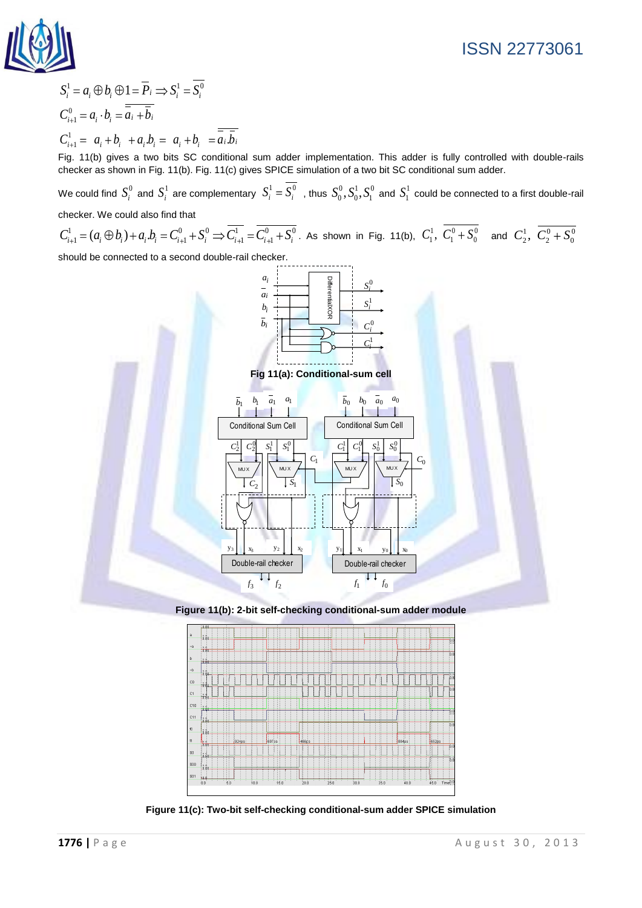

# ISSN 22773061

$$
S_i^1 = a_i \oplus b_i \oplus 1 = \overline{P}_i \implies S_i^1 = \overline{S_i^0}
$$
  
\n
$$
C_{i+1}^0 = a_i \cdot b_i = \overline{a_i + b_i}
$$
  
\n
$$
C_{i+1}^1 = a_i + b_i + a_i b_i = a_i + b_i = \overline{a_i b_i}
$$

Fig. 11(b) gives a two bits SC conditional sum adder implementation. This adder is fully controlled with double-rails checker as shown in Fig. 11(b). Fig. 11(c) gives SPICE simulation of a two bit SC conditional sum adder.

We could find  $S_i^0$  and  $S_i^1$  are complementary  $S_i^1=S_i^0$  , thus  $S_0^0,S_0^1,S_1^0$  and  $S_1^1$  could be connected to a first double-rail checker. We could also find that

checker. We could also find that<br>  $C_{i+1}^1 = (a_i \oplus b_i) + a_i.b_i = C_{i+1}^0 + S_i^0 \Rightarrow \overline{C_{i+1}^1} = \overline{C_{i+1}^0 + S_i^0}$ . As shown in Fig. 11(b),  $C_1^1$ ,  $\overline{C_1^0 + S_0^0}$  and  $C_2^1$ ,  $\overline{C_2^0 + S_0^0}$ 

should be connected to a second double-rail checker.



**Figure 11(b): 2-bit self-checking conditional-sum adder module**



**Figure 11(c): Two-bit self-checking conditional-sum adder SPICE simulation**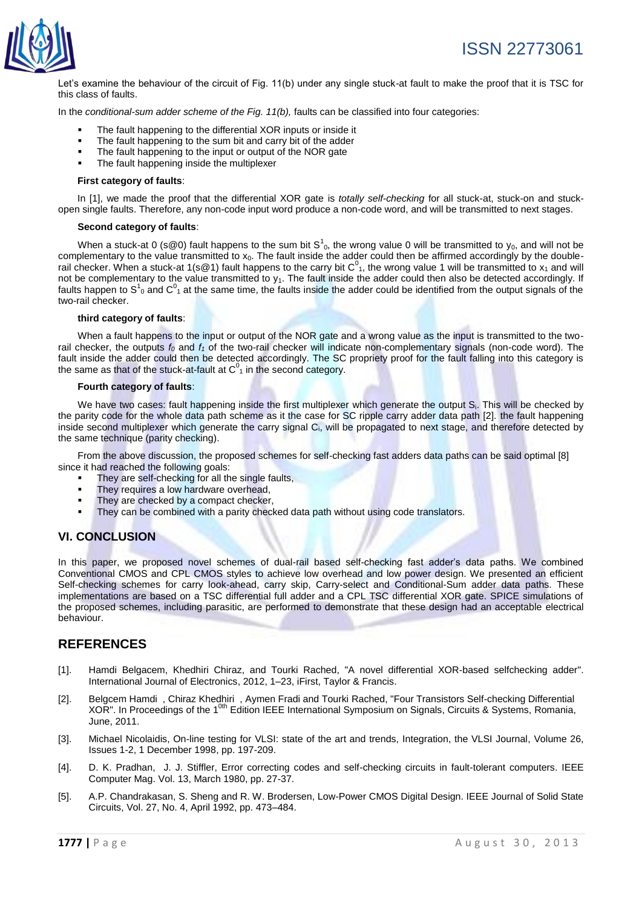

Let's examine the behaviour of the circuit of Fig. 11(b) under any single stuck-at fault to make the proof that it is TSC for this class of faults.

In the *conditional-sum adder scheme of the Fig. 11(b),* faults can be classified into four categories:

- The fault happening to the differential XOR inputs or inside it
- The fault happening to the sum bit and carry bit of the adder
- The fault happening to the input or output of the NOR gate
- The fault happening inside the multiplexer

#### **First category of faults**:

In [1], we made the proof that the differential XOR gate is *totally self-checking* for all stuck-at, stuck-on and stuckopen single faults. Therefore, any non-code input word produce a non-code word, and will be transmitted to next stages.

#### **Second category of faults**:

When a stuck-at 0 (s@0) fault happens to the sum bit  $S^1_{0}$ , the wrong value 0 will be transmitted to y<sub>0</sub>, and will not be complementary to the value transmitted to  $x_0$ . The fault inside the adder could then be affirmed accordingly by the doublerail checker. When a stuck-at 1(s@1) fault happens to the carry bit  $C^0_{1}$ , the wrong value 1 will be transmitted to  $x_1$  and will not be complementary to the value transmitted to  $y_1$ . The fault inside the adder could then also be detected accordingly. If faults happen to S<sup>1</sup><sub>0</sub> and C<sup>0</sup><sub>1</sub> at the same time, the faults inside the adder could be identified from the output signals of the two-rail checker.

#### **third category of faults**:

When a fault happens to the input or output of the NOR gate and a wrong value as the input is transmitted to the tworail checker, the outputs *f<sup>0</sup>* and *f<sup>1</sup>* of the two-rail checker will indicate non-complementary signals (non-code word). The fault inside the adder could then be detected accordingly. The SC propriety proof for the fault falling into this category is the same as that of the stuck-at-fault at  $C<sup>0</sup>$ <sub>1</sub> in the second category.

#### **Fourth category of faults**:

We have two cases: fault happening inside the first multiplexer which generate the output S<sub>i</sub>. This will be checked by the parity code for the whole data path scheme as it the case for SC ripple carry adder data path [2]. the fault happening inside second multiplexer which generate the carry signal Ci, will be propagated to next stage, and therefore detected by the same technique (parity checking).

From the above discussion, the proposed schemes for self-checking fast adders data paths can be said optimal [8] since it had reached the following goals:

- They are self-checking for all the single faults,
- They requires a low hardware overhead,
- They are checked by a compact checker,
- They can be combined with a parity checked data path without using code translators.

#### **VI. CONCLUSION**

In this paper, we proposed novel schemes of dual-rail based self-checking fast adder's data paths. We combined Conventional CMOS and CPL CMOS styles to achieve low overhead and low power design. We presented an efficient Self-checking schemes for carry look-ahead, carry skip, Carry-select and Conditional-Sum adder data paths. These implementations are based on a TSC differential full adder and a CPL TSC differential XOR gate. SPICE simulations of the proposed schemes, including parasitic, are performed to demonstrate that these design had an acceptable electrical behaviour.

#### **REFERENCES**

- [1]. Hamdi Belgacem, Khedhiri Chiraz, and Tourki Rached, "A novel differential XOR-based selfchecking adder". International Journal of Electronics, 2012, 1–23, iFirst, Taylor & Francis.
- [2]. Belgcem Hamdi , Chiraz Khedhiri , Aymen Fradi and Tourki Rached, "Four Transistors Self-checking Differential XOR". In Proceedings of the 1<sup>0th</sup> Edition IEEE International Symposium on Signals, Circuits & Systems, Romania, June, 2011.
- [3]. Michael Nicolaidis, On-line testing for VLSI: state of the art and trends, Integration, the VLSI Journal, Volume 26, Issues 1-2, 1 December 1998, pp. 197-209.
- [4]. D. K. Pradhan, J. J. Stiffler, Error correcting codes and self-checking circuits in fault-tolerant computers. IEEE Computer Mag. Vol. 13, March 1980, pp. 27-37.
- [5]. A.P. Chandrakasan, S. Sheng and R. W. Brodersen, Low-Power CMOS Digital Design. IEEE Journal of Solid State Circuits, Vol. 27, No. 4, April 1992, pp. 473–484.